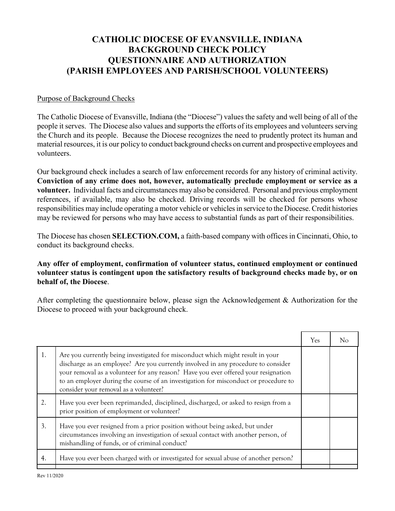## **CATHOLIC DIOCESE OF EVANSVILLE, INDIANA BACKGROUND CHECK POLICY QUESTIONNAIRE AND AUTHORIZATION (PARISH EMPLOYEES AND PARISH/SCHOOL VOLUNTEERS)**

## Purpose of Background Checks

The Catholic Diocese of Evansville, Indiana (the "Diocese") values the safety and well being of all of the people it serves. The Diocese also values and supports the efforts of its employees and volunteers serving the Church and its people. Because the Diocese recognizes the need to prudently protect its human and material resources, it is our policy to conduct background checks on current and prospective employees and volunteers.

Our background check includes a search of law enforcement records for any history of criminal activity. **Conviction of any crime does not, however, automatically preclude employment or service as a volunteer.** Individual facts and circumstances may also be considered. Personal and previous employment references, if available, may also be checked. Driving records will be checked for persons whose responsibilities may include operating a motor vehicle or vehicles in service to the Diocese. Credit histories may be reviewed for persons who may have access to substantial funds as part of their responsibilities.

The Diocese has chosen **SELECTiON.COM,** a faith-based company with offices in Cincinnati, Ohio, to conduct its background checks.

**Any offer of employment, confirmation of volunteer status, continued employment or continued volunteer status is contingent upon the satisfactory results of background checks made by, or on behalf of, the Diocese**.

After completing the questionnaire below, please sign the Acknowledgement & Authorization for the Diocese to proceed with your background check.

|    |                                                                                                                                                                                                                                                                                                                                                                                           | Yes |  |
|----|-------------------------------------------------------------------------------------------------------------------------------------------------------------------------------------------------------------------------------------------------------------------------------------------------------------------------------------------------------------------------------------------|-----|--|
| 1. | Are you currently being investigated for misconduct which might result in your<br>discharge as an employee? Are you currently involved in any procedure to consider<br>your removal as a volunteer for any reason? Have you ever offered your resignation<br>to an employer during the course of an investigation for misconduct or procedure to<br>consider your removal as a volunteer? |     |  |
| 2. | Have you ever been reprimanded, disciplined, discharged, or asked to resign from a<br>prior position of employment or volunteer?                                                                                                                                                                                                                                                          |     |  |
| 3. | Have you ever resigned from a prior position without being asked, but under<br>circumstances involving an investigation of sexual contact with another person, of<br>mishandling of funds, or of criminal conduct?                                                                                                                                                                        |     |  |
| 4. | Have you ever been charged with or investigated for sexual abuse of another person?                                                                                                                                                                                                                                                                                                       |     |  |